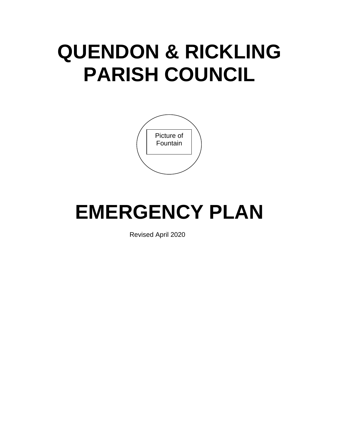# **QUENDON & RICKLING PARISH COUNCIL**



# **EMERGENCY PLAN**

Revised April 2020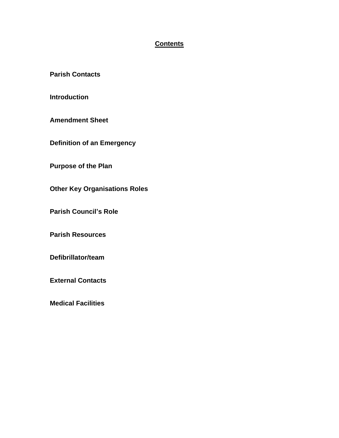## **Contents**

**Parish Contacts**

**Introduction**

**Amendment Sheet**

**Definition of an Emergency**

**Purpose of the Plan**

**Other Key Organisations Roles**

**Parish Council's Role**

**Parish Resources**

**Defibrillator/team**

**External Contacts**

**Medical Facilities**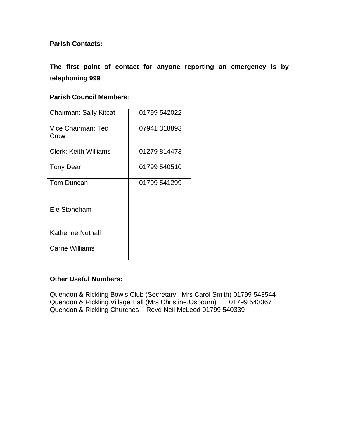## **Parish Contacts:**

**The first point of contact for anyone reporting an emergency is by telephoning 999**

#### **Parish Council Members**:

| <b>Chairman: Sally Kitcat</b> | 01799 542022 |
|-------------------------------|--------------|
| Vice Chairman: Ted<br>Crow    | 07941 318893 |
| <b>Clerk: Keith Williams</b>  | 01279 814473 |
| <b>Tony Dear</b>              | 01799 540510 |
| <b>Tom Duncan</b>             | 01799 541299 |
| Ele Stoneham                  |              |
| <b>Katherine Nuthall</b>      |              |
| <b>Carrie Williams</b>        |              |

#### **Other Useful Numbers:**

Quendon & Rickling Bowls Club (Secretary –Mrs Carol Smith) 01799 543544 Quendon & Rickling Village Hall (Mrs Christine.Osbourn) 01799 543367 Quendon & Rickling Churches – Revd Neil McLeod 01799 540339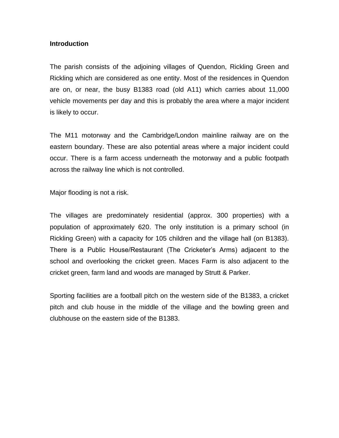#### **Introduction**

The parish consists of the adjoining villages of Quendon, Rickling Green and Rickling which are considered as one entity. Most of the residences in Quendon are on, or near, the busy B1383 road (old A11) which carries about 11,000 vehicle movements per day and this is probably the area where a major incident is likely to occur.

The M11 motorway and the Cambridge/London mainline railway are on the eastern boundary. These are also potential areas where a major incident could occur. There is a farm access underneath the motorway and a public footpath across the railway line which is not controlled.

Major flooding is not a risk.

The villages are predominately residential (approx. 300 properties) with a population of approximately 620. The only institution is a primary school (in Rickling Green) with a capacity for 105 children and the village hall (on B1383). There is a Public House/Restaurant (The Cricketer's Arms) adjacent to the school and overlooking the cricket green. Maces Farm is also adjacent to the cricket green, farm land and woods are managed by Strutt & Parker.

Sporting facilities are a football pitch on the western side of the B1383, a cricket pitch and club house in the middle of the village and the bowling green and clubhouse on the eastern side of the B1383.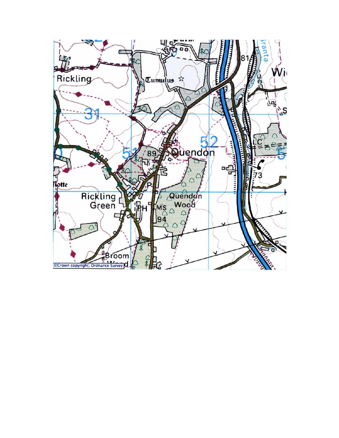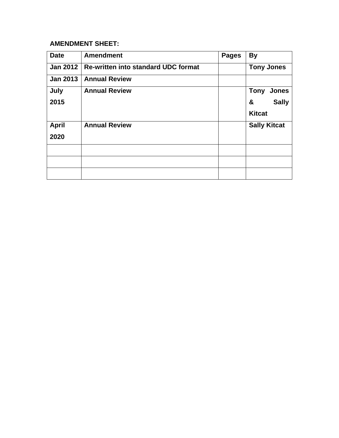## **AMENDMENT SHEET:**

| <b>Date</b>     | <b>Amendment</b>                    | <b>Pages</b> | <b>By</b>                   |
|-----------------|-------------------------------------|--------------|-----------------------------|
| <b>Jan 2012</b> | Re-written into standard UDC format |              | <b>Tony Jones</b>           |
| <b>Jan 2013</b> | <b>Annual Review</b>                |              |                             |
| July            | <b>Annual Review</b>                |              | <b>Tony</b><br><b>Jones</b> |
| 2015            |                                     |              | <b>Sally</b><br>&           |
|                 |                                     |              | <b>Kitcat</b>               |
| <b>April</b>    | <b>Annual Review</b>                |              | <b>Sally Kitcat</b>         |
| 2020            |                                     |              |                             |
|                 |                                     |              |                             |
|                 |                                     |              |                             |
|                 |                                     |              |                             |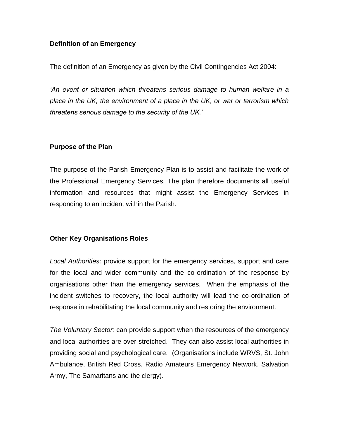### **Definition of an Emergency**

The definition of an Emergency as given by the Civil Contingencies Act 2004:

*'An event or situation which threatens serious damage to human welfare in a place in the UK, the environment of a place in the UK, or war or terrorism which threatens serious damage to the security of the UK.'*

#### **Purpose of the Plan**

The purpose of the Parish Emergency Plan is to assist and facilitate the work of the Professional Emergency Services. The plan therefore documents all useful information and resources that might assist the Emergency Services in responding to an incident within the Parish.

#### **Other Key Organisations Roles**

*Local Authorities*: provide support for the emergency services, support and care for the local and wider community and the co-ordination of the response by organisations other than the emergency services. When the emphasis of the incident switches to recovery, the local authority will lead the co-ordination of response in rehabilitating the local community and restoring the environment.

*The Voluntary Sector:* can provide support when the resources of the emergency and local authorities are over-stretched. They can also assist local authorities in providing social and psychological care. (Organisations include WRVS, St. John Ambulance, British Red Cross, Radio Amateurs Emergency Network, Salvation Army, The Samaritans and the clergy).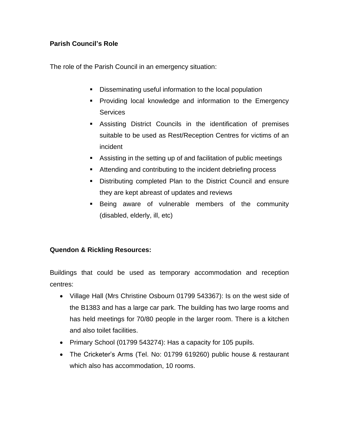## **Parish Council's Role**

The role of the Parish Council in an emergency situation:

- Disseminating useful information to the local population
- **•** Providing local knowledge and information to the Emergency **Services**
- **EXEC** Assisting District Councils in the identification of premises suitable to be used as Rest/Reception Centres for victims of an incident
- Assisting in the setting up of and facilitation of public meetings
- Attending and contributing to the incident debriefing process
- Distributing completed Plan to the District Council and ensure they are kept abreast of updates and reviews
- Being aware of vulnerable members of the community (disabled, elderly, ill, etc)

## **Quendon & Rickling Resources:**

Buildings that could be used as temporary accommodation and reception centres:

- Village Hall (Mrs Christine Osbourn 01799 543367): Is on the west side of the B1383 and has a large car park. The building has two large rooms and has held meetings for 70/80 people in the larger room. There is a kitchen and also toilet facilities.
- Primary School (01799 543274): Has a capacity for 105 pupils.
- The Cricketer's Arms (Tel. No: 01799 619260) public house & restaurant which also has accommodation, 10 rooms.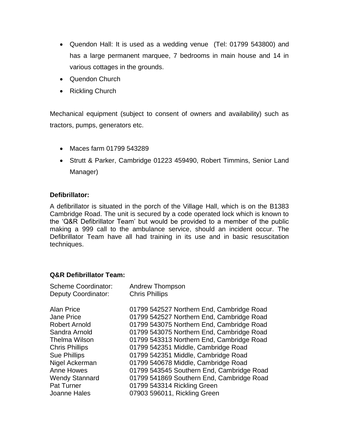- Quendon Hall: It is used as a wedding venue (Tel: 01799 543800) and has a large permanent marquee, 7 bedrooms in main house and 14 in various cottages in the grounds.
- Quendon Church
- Rickling Church

Mechanical equipment (subject to consent of owners and availability) such as tractors, pumps, generators etc.

- Maces farm 01799 543289
- Strutt & Parker, Cambridge 01223 459490, Robert Timmins, Senior Land Manager)

#### **Defibrillator:**

A defibrillator is situated in the porch of the Village Hall, which is on the B1383 Cambridge Road. The unit is secured by a code operated lock which is known to the 'Q&R Defibrillator Team' but would be provided to a member of the public making a 999 call to the ambulance service, should an incident occur. The Defibrillator Team have all had training in its use and in basic resuscitation techniques.

#### **Q&R Defibrillator Team:**

| <b>Scheme Coordinator:</b><br><b>Deputy Coordinator:</b> | <b>Andrew Thompson</b><br><b>Chris Phillips</b> |
|----------------------------------------------------------|-------------------------------------------------|
| <b>Alan Price</b>                                        | 01799 542527 Northern End, Cambridge Road       |
| <b>Jane Price</b>                                        | 01799 542527 Northern End, Cambridge Road       |
| <b>Robert Arnold</b>                                     | 01799 543075 Northern End, Cambridge Road       |
| Sandra Arnold                                            | 01799 543075 Northern End, Cambridge Road       |
| <b>Thelma Wilson</b>                                     | 01799 543313 Northern End, Cambridge Road       |
| <b>Chris Phillips</b>                                    | 01799 542351 Middle, Cambridge Road             |
| <b>Sue Phillips</b>                                      | 01799 542351 Middle, Cambridge Road             |
| Nigel Ackerman                                           | 01799 540678 Middle, Cambridge Road             |
| <b>Anne Howes</b>                                        | 01799 543545 Southern End, Cambridge Road       |
| <b>Wendy Stannard</b>                                    | 01799 541869 Southern End, Cambridge Road       |
| Pat Turner                                               | 01799 543314 Rickling Green                     |
| <b>Joanne Hales</b>                                      | 07903 596011, Rickling Green                    |
|                                                          |                                                 |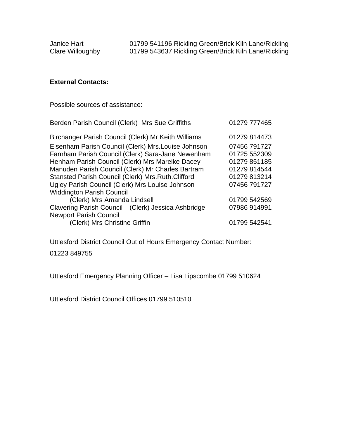#### **External Contacts:**

Possible sources of assistance:

| Berden Parish Council (Clerk) Mrs Sue Griffiths                                                                                                                                                                 | 01279 777465                                                 |
|-----------------------------------------------------------------------------------------------------------------------------------------------------------------------------------------------------------------|--------------------------------------------------------------|
| Birchanger Parish Council (Clerk) Mr Keith Williams                                                                                                                                                             | 01279 814473                                                 |
| Elsenham Parish Council (Clerk) Mrs.Louise Johnson<br>Farnham Parish Council (Clerk) Sara-Jane Newenham<br>Henham Parish Council (Clerk) Mrs Mareike Dacey<br>Manuden Parish Council (Clerk) Mr Charles Bartram | 07456 791727<br>01725 552309<br>01279 851185<br>01279 814544 |
| Stansted Parish Council (Clerk) Mrs. Ruth. Clifford<br>Ugley Parish Council (Clerk) Mrs Louise Johnson<br><b>Widdington Parish Council</b>                                                                      | 01279 813214<br>07456 791727                                 |
| (Clerk) Mrs Amanda Lindsell<br>Clavering Parish Council (Clerk) Jessica Ashbridge<br><b>Newport Parish Council</b>                                                                                              | 01799 542569<br>07986 914991                                 |
| (Clerk) Mrs Christine Griffin                                                                                                                                                                                   | 01799 542541                                                 |

Uttlesford District Council Out of Hours Emergency Contact Number:

01223 849755

Uttlesford Emergency Planning Officer – Lisa Lipscombe 01799 510624

Uttlesford District Council Offices 01799 510510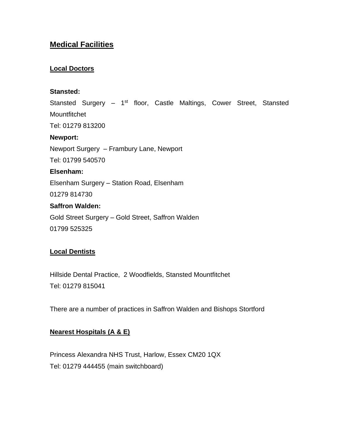## **Medical Facilities**

### **Local Doctors**

## **Stansted:**

Stansted Surgery – 1<sup>st</sup> floor, Castle Maltings, Cower Street, Stansted **Mountfitchet** Tel: 01279 813200 **Newport:** Newport Surgery – Frambury Lane, Newport Tel: 01799 540570 **Elsenham:** Elsenham Surgery – Station Road, Elsenham 01279 814730 **Saffron Walden:** Gold Street Surgery – Gold Street, Saffron Walden 01799 525325

## **Local Dentists**

Hillside Dental Practice, 2 Woodfields, Stansted Mountfitchet Tel: 01279 815041

There are a number of practices in Saffron Walden and Bishops Stortford

#### **Nearest Hospitals (A & E)**

Princess Alexandra NHS Trust, Harlow, Essex CM20 1QX Tel: 01279 444455 (main switchboard)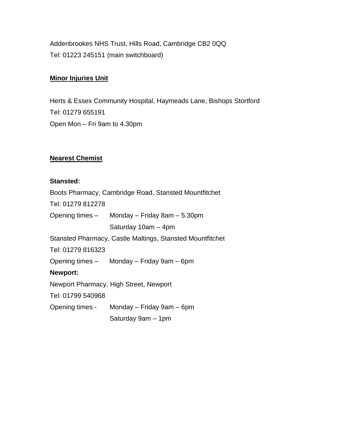Addenbrookes NHS Trust, Hills Road, Cambridge CB2 0QQ Tel: 01223 245151 (main switchboard)

#### **Minor Injuries Unit**

Herts & Essex Community Hospital, Haymeads Lane, Bishops Stortford Tel: 01279 655191 Open Mon – Fri 9am to 4.30pm

#### **Nearest Chemist**

#### **Stansted:**

Boots Pharmacy, Cambridge Road, Stansted Mountfitchet Tel: 01279 812278

Opening times – Monday – Friday 8am – 5.30pm

Saturday 10am – 4pm

Stansted Pharmacy, Castle Maltings, Stansted Mountfitchet

Tel: 01279 816323

Opening times – Monday – Friday 9am – 6pm

## **Newport:**

Newport Pharmacy, High Street, Newport

Tel: 01799 540968

Opening times - Monday – Friday 9am – 6pm

Saturday 9am – 1pm